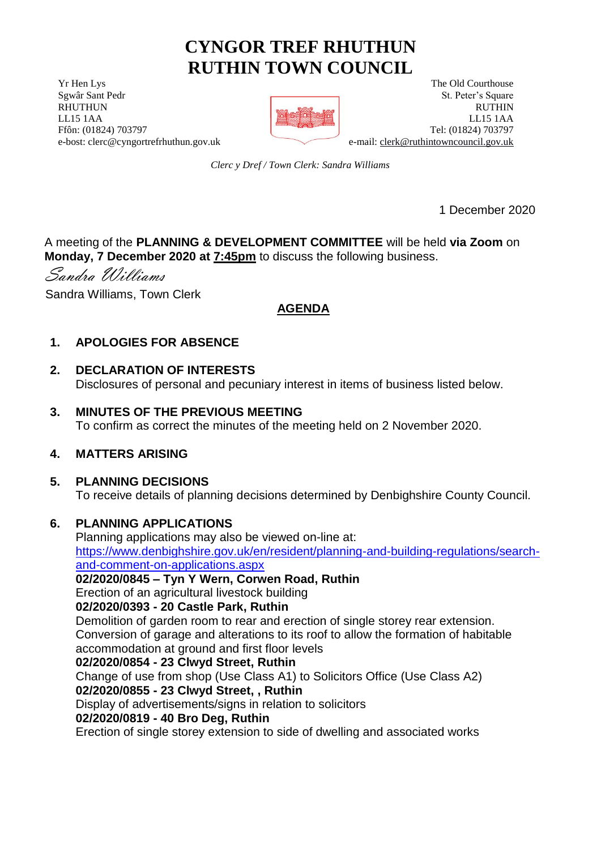# **CYNGOR TREF RHUTHUN RUTHIN TOWN COUNCIL**

**The Old Courthouse** The Old Courthouse The Old Courthouse The Old Courthouse Sgwâr Sant Pedr St. Peter's Square RHUTHUN RUTHIN RUTHIN RESERVED TO A STRUCK A STRUCK OF THE RUTHIN RUTHIN LL15 1AA LL15 1AA Ffôn: (01824) 703797 Tel: (01824) 703797 e-bost: clerc@cyngortrefrhuthun.gov.uk e-mail: [clerk@ruthintowncouncil.gov.uk](mailto:clerk@ruthintowncouncil.gov.uk)



*Clerc y Dref / Town Clerk: Sandra Williams*

1 December 2020

A meeting of the **PLANNING & DEVELOPMENT COMMITTEE** will be held **via Zoom** on **Monday, 7 December 2020 at 7:45pm** to discuss the following business.

Sandra Williams

Sandra Williams, Town Clerk

# **AGENDA**

# **1. APOLOGIES FOR ABSENCE**

# **2. DECLARATION OF INTERESTS**

Disclosures of personal and pecuniary interest in items of business listed below.

### **3. MINUTES OF THE PREVIOUS MEETING**

To confirm as correct the minutes of the meeting held on 2 November 2020.

# **4. MATTERS ARISING**

#### **5. PLANNING DECISIONS**

To receive details of planning decisions determined by Denbighshire County Council.

# **6. PLANNING APPLICATIONS**

Planning applications may also be viewed on-line at: [https://www.denbighshire.gov.uk/en/resident/planning-and-building-regulations/search](https://www.denbighshire.gov.uk/en/resident/planning-and-building-regulations/search-and-comment-on-applications.aspx)[and-comment-on-applications.aspx](https://www.denbighshire.gov.uk/en/resident/planning-and-building-regulations/search-and-comment-on-applications.aspx) 

#### **02/2020/0845 – Tyn Y Wern, Corwen Road, Ruthin**

Erection of an agricultural livestock building

# **02/2020/0393 - 20 Castle Park, Ruthin**

Demolition of garden room to rear and erection of single storey rear extension. Conversion of garage and alterations to its roof to allow the formation of habitable accommodation at ground and first floor levels

#### **02/2020/0854 - 23 Clwyd Street, Ruthin**

Change of use from shop (Use Class A1) to Solicitors Office (Use Class A2)

# **02/2020/0855 - 23 Clwyd Street, , Ruthin**

Display of advertisements/signs in relation to solicitors

# **02/2020/0819 - 40 Bro Deg, Ruthin**

Erection of single storey extension to side of dwelling and associated works